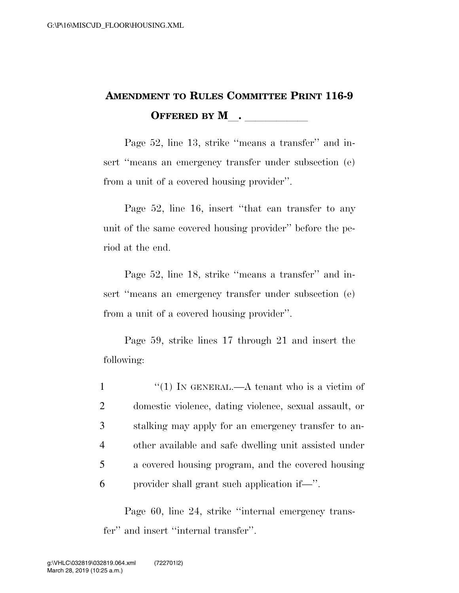## **AMENDMENT TO RULES COMMITTEE PRINT 116-9 OFFERED BY M**.

Page 52, line 13, strike ''means a transfer'' and insert "means an emergency transfer under subsection (e) from a unit of a covered housing provider''.

Page 52, line 16, insert ''that can transfer to any unit of the same covered housing provider'' before the period at the end.

Page 52, line 18, strike ''means a transfer'' and insert ''means an emergency transfer under subsection (e) from a unit of a covered housing provider''.

Page 59, strike lines 17 through 21 and insert the following:

 $\frac{1}{1}$  IN GENERAL.—A tenant who is a victim of domestic violence, dating violence, sexual assault, or stalking may apply for an emergency transfer to an- other available and safe dwelling unit assisted under a covered housing program, and the covered housing provider shall grant such application if—''.

Page 60, line 24, strike ''internal emergency transfer'' and insert ''internal transfer''.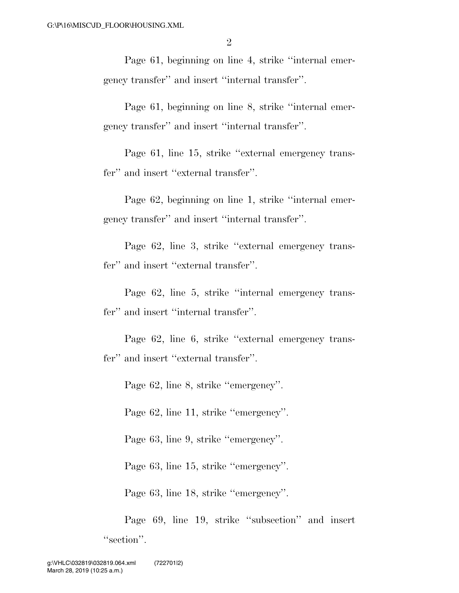Page 61, beginning on line 4, strike ''internal emergency transfer'' and insert ''internal transfer''.

Page 61, beginning on line 8, strike ''internal emergency transfer'' and insert ''internal transfer''.

Page 61, line 15, strike ''external emergency transfer'' and insert ''external transfer''.

Page 62, beginning on line 1, strike ''internal emergency transfer'' and insert ''internal transfer''.

Page 62, line 3, strike ''external emergency transfer'' and insert ''external transfer''.

Page 62, line 5, strike ''internal emergency transfer'' and insert ''internal transfer''.

Page 62, line 6, strike ''external emergency transfer'' and insert ''external transfer''.

Page 62, line 8, strike ''emergency''.

Page 62, line 11, strike ''emergency''.

Page 63, line 9, strike ''emergency''.

Page 63, line 15, strike ''emergency''.

Page 63, line 18, strike ''emergency''.

Page 69, line 19, strike ''subsection'' and insert "section".